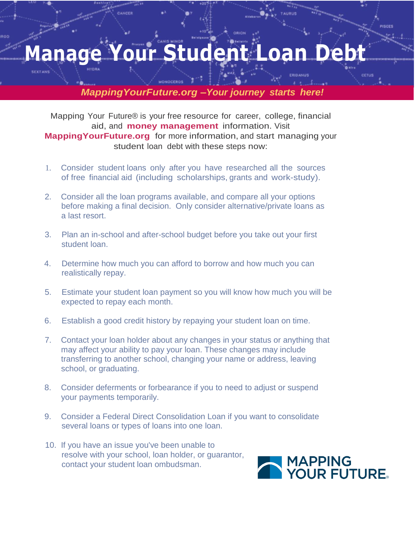## **Manage Your Student Loan**

*MappingYourFuture.org –Your journey starts here!*

Mapping Your Future® is your free resource for career, college, financial aid, and **money management** information. Visit **Mapping Your Future.org** for more information, and start managing your student loan debt with these steps now:

- 1. Consider student loans only after you have researched all the sources of free financial aid (including scholarships, grants and work-study).
- 2. Consider all the loan programs available, and compare all your options before making a final decision. Only consider alternative/private loans as a last resort.
- 3. Plan an in-school and after-school budget before you take out your first student loan.
- 4. Determine how much you can afford to borrow and how much you can realistically repay.
- 5. Estimate your student loan payment so you will know how much you will be expected to repay each month.
- 6. Establish a good credit history by repaying your student loan on time.
- 7. Contact your loan holder about any changes in your status or anything that may affect your ability to pay your loan. These changes may include transferring to another school, changing your name or address, leaving school, or graduating.
- 8. Consider deferments or forbearance if you to need to adjust or suspend your payments temporarily.
- 9. Consider a Federal Direct Consolidation Loan if you want to consolidate several loans or types of loans into one loan.
- 10. If you have an issue you've been unable to resolve with your school, loan holder, or guarantor, contact your student loan ombudsman.